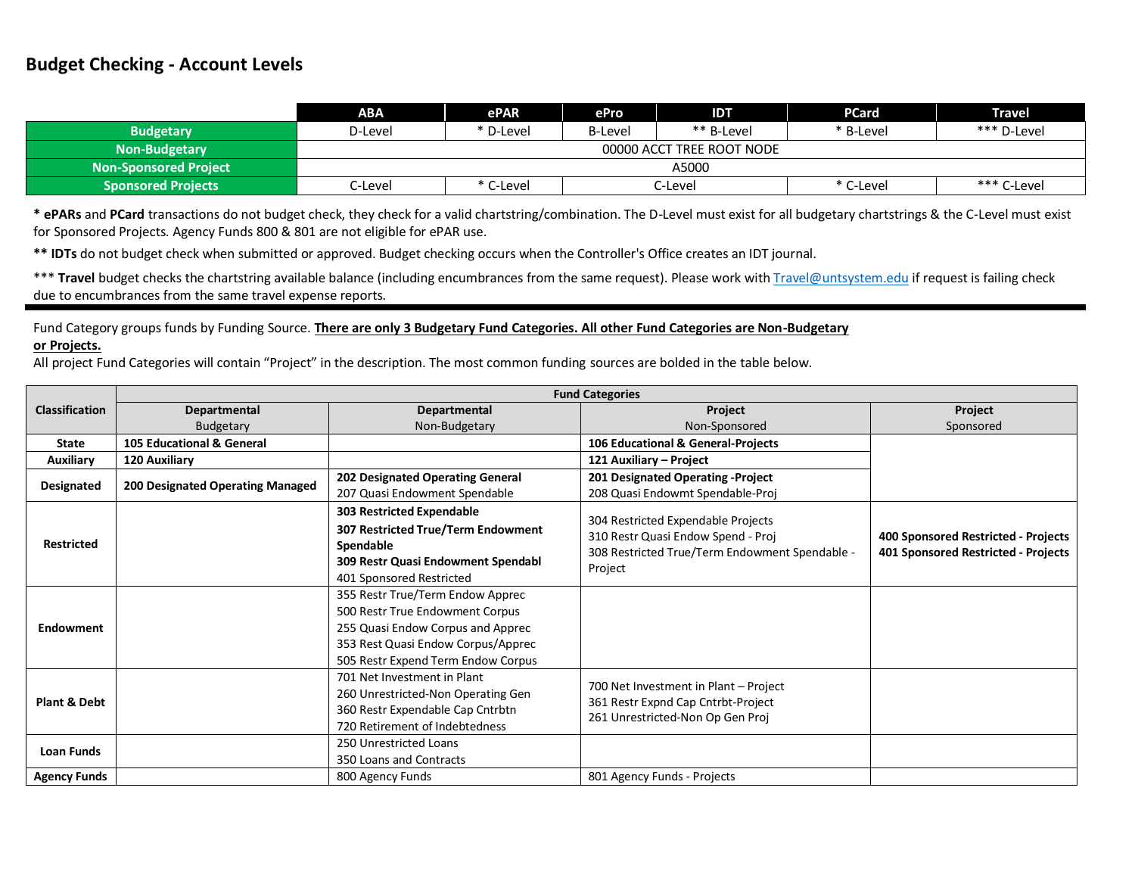## **Budget Checking - Account Levels**

|                           | ABA                       | ePAR      | ePro           | IDT        | <b>PCard</b> | <b>Travel</b> |  |
|---------------------------|---------------------------|-----------|----------------|------------|--------------|---------------|--|
| <b>Budgetary</b>          | D-Level                   | * D-Level | <b>B-Level</b> | ** B-Level | * B-Level    | *** D-Level   |  |
| Non-Budgetary             | 00000 ACCT TREE ROOT NODE |           |                |            |              |               |  |
| Non-Sponsored Project     | A5000                     |           |                |            |              |               |  |
| <b>Sponsored Projects</b> | C-Level                   | C-Level   |                | C-Level    | * C-Level    | *** C-Level   |  |

**\* ePARs** and **PCard** transactions do not budget check, they check for a valid chartstring/combination. The D-Level must exist for all budgetary chartstrings & the C-Level must exist for Sponsored Projects. Agency Funds 800 & 801 are not eligible for ePAR use.

**\*\* IDTs** do not budget check when submitted or approved. Budget checking occurs when the Controller's Office creates an IDT journal.

\*\*\* Travel budget checks the chartstring available balance (including encumbrances from the same request). Please work wit[h Travel@untsystem.edu](mailto:Travel@untsystem.edu) if request is failing check due to encumbrances from the same travel expense reports.

Fund Category groups funds by Funding Source. **There are only 3 Budgetary Fund Categories. All other Fund Categories are Non-Budgetary** 

## **or Projects.**

All project Fund Categories will contain "Project" in the description. The most common funding sources are bolded in the table below.

|                       | <b>Fund Categories</b>                                                                                                                  |                                                                                                                                                                                      |                                                                                                                            |                                                                            |  |  |  |
|-----------------------|-----------------------------------------------------------------------------------------------------------------------------------------|--------------------------------------------------------------------------------------------------------------------------------------------------------------------------------------|----------------------------------------------------------------------------------------------------------------------------|----------------------------------------------------------------------------|--|--|--|
| <b>Classification</b> | Departmental                                                                                                                            | Departmental                                                                                                                                                                         | Project                                                                                                                    | Project                                                                    |  |  |  |
|                       | <b>Budgetary</b>                                                                                                                        | Non-Budgetary                                                                                                                                                                        | Non-Sponsored                                                                                                              | Sponsored                                                                  |  |  |  |
| <b>State</b>          | 105 Educational & General                                                                                                               |                                                                                                                                                                                      | 106 Educational & General-Projects                                                                                         |                                                                            |  |  |  |
| <b>Auxiliary</b>      | 120 Auxiliary                                                                                                                           |                                                                                                                                                                                      | 121 Auxiliary - Project                                                                                                    |                                                                            |  |  |  |
| Designated            | 200 Designated Operating Managed                                                                                                        | 202 Designated Operating General                                                                                                                                                     | 201 Designated Operating -Project                                                                                          |                                                                            |  |  |  |
|                       |                                                                                                                                         | 207 Quasi Endowment Spendable                                                                                                                                                        | 208 Quasi Endowmt Spendable-Proj                                                                                           |                                                                            |  |  |  |
| <b>Restricted</b>     |                                                                                                                                         | <b>303 Restricted Expendable</b>                                                                                                                                                     |                                                                                                                            |                                                                            |  |  |  |
|                       |                                                                                                                                         | 307 Restricted True/Term Endowment<br>Spendable<br><b>309 Restr Quasi Endowment Spendabl</b>                                                                                         | 304 Restricted Expendable Projects<br>310 Restr Quasi Endow Spend - Proj<br>308 Restricted True/Term Endowment Spendable - | 400 Sponsored Restricted - Projects<br>401 Sponsored Restricted - Projects |  |  |  |
|                       |                                                                                                                                         | 401 Sponsored Restricted                                                                                                                                                             | Project                                                                                                                    |                                                                            |  |  |  |
| Endowment             |                                                                                                                                         | 355 Restr True/Term Endow Apprec<br>500 Restr True Endowment Corpus<br>255 Quasi Endow Corpus and Apprec<br>353 Rest Quasi Endow Corpus/Apprec<br>505 Restr Expend Term Endow Corpus |                                                                                                                            |                                                                            |  |  |  |
| Plant & Debt          | 701 Net Investment in Plant<br>260 Unrestricted-Non Operating Gen<br>360 Restr Expendable Cap Cntrbtn<br>720 Retirement of Indebtedness |                                                                                                                                                                                      | 700 Net Investment in Plant - Project<br>361 Restr Expnd Cap Cntrbt-Project<br>261 Unrestricted-Non Op Gen Proj            |                                                                            |  |  |  |
| <b>Loan Funds</b>     |                                                                                                                                         | 250 Unrestricted Loans<br>350 Loans and Contracts                                                                                                                                    |                                                                                                                            |                                                                            |  |  |  |
| <b>Agency Funds</b>   |                                                                                                                                         | 800 Agency Funds                                                                                                                                                                     | 801 Agency Funds - Projects                                                                                                |                                                                            |  |  |  |